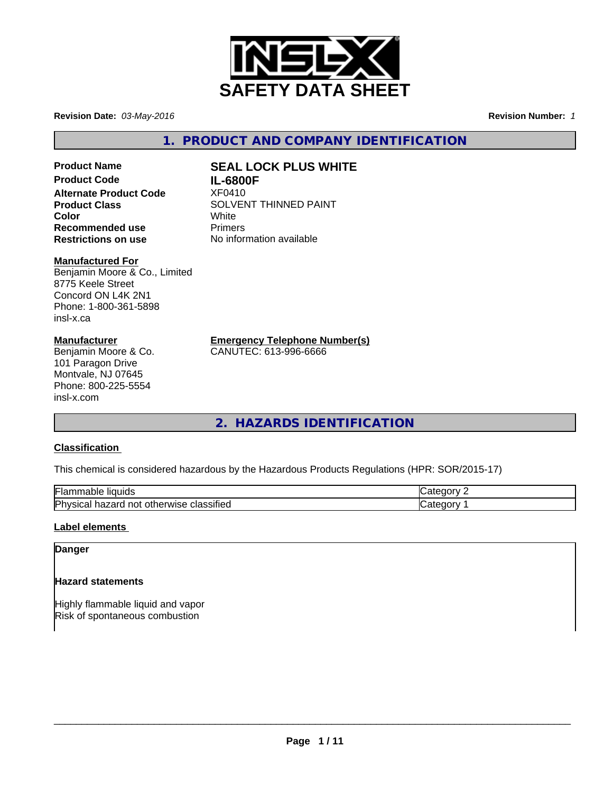

**Revision Date:** *03-May-2016* **Revision Number:** *1*

**1. PRODUCT AND COMPANY IDENTIFICATION**

# **Product Name SEAL LOCK PLUS WHITE Product Code IL-6800F Alternate Product Code** XF0410 **Recommended use** Primers<br> **Restrictions on use** Mo information available **Restrictions on use**

# **Manufactured For**

Benjamin Moore & Co., Limited 8775 Keele Street Concord ON L4K 2N1 Phone: 1-800-361-5898 insl-x.ca

### **Manufacturer**

Benjamin Moore & Co. 101 Paragon Drive Montvale, NJ 07645 Phone: 800-225-5554 insl-x.com

**Product Class** SOLVENT THINNED PAINT<br>
Color **Color** White

**Emergency Telephone Number(s)**

CANUTEC: 613-996-6666

**2. HAZARDS IDENTIFICATION**

## **Classification**

This chemical is considered hazardous by the Hazardous Products Regulations (HPR: SOR/2015-17)

| Flar<br>` liauids<br>. able                                       | - - - |
|-------------------------------------------------------------------|-------|
| $\cdot$ .<br>Phy<br>≅classifie∈<br>otherwise<br>no<br>ar<br><br>. | . .   |

## **Label elements**

## **Danger**

## **Hazard statements**

Highly flammable liquid and vapor Risk of spontaneous combustion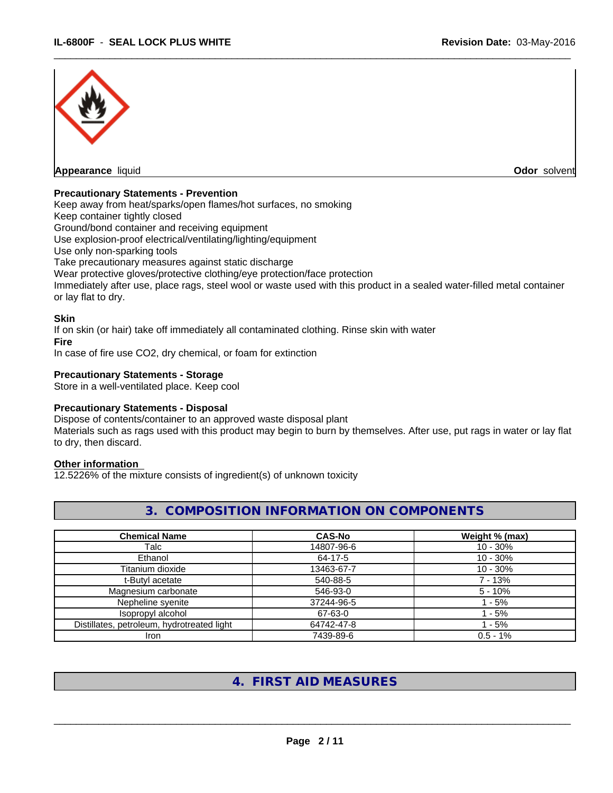

 $\overline{\phantom{a}}$  ,  $\overline{\phantom{a}}$  ,  $\overline{\phantom{a}}$  ,  $\overline{\phantom{a}}$  ,  $\overline{\phantom{a}}$  ,  $\overline{\phantom{a}}$  ,  $\overline{\phantom{a}}$  ,  $\overline{\phantom{a}}$  ,  $\overline{\phantom{a}}$  ,  $\overline{\phantom{a}}$  ,  $\overline{\phantom{a}}$  ,  $\overline{\phantom{a}}$  ,  $\overline{\phantom{a}}$  ,  $\overline{\phantom{a}}$  ,  $\overline{\phantom{a}}$  ,  $\overline{\phantom{a}}$ 

#### **Precautionary Statements - Prevention**

Keep away from heat/sparks/open flames/hot surfaces, no smoking

Keep container tightly closed

Ground/bond container and receiving equipment

Use explosion-proof electrical/ventilating/lighting/equipment

Use only non-sparking tools

Take precautionary measures against static discharge

Wear protective gloves/protective clothing/eye protection/face protection

Immediately after use, place rags, steel wool or waste used with this product in a sealed water-filled metal container or lay flat to dry.

#### **Skin**

If on skin (or hair) take off immediately all contaminated clothing. Rinse skin with water

**Fire**

In case of fire use CO2, dry chemical, or foam for extinction

### **Precautionary Statements - Storage**

Store in a well-ventilated place. Keep cool

#### **Precautionary Statements - Disposal**

Dispose of contents/container to an approved waste disposal plant

Materials such as rags used with this product may begin to burn by themselves. After use, put rags in water or lay flat to dry, then discard.

## **Other information**

12.5226% of the mixture consists of ingredient(s) of unknown toxicity

|--|

| <b>Chemical Name</b>                       | <b>CAS-No</b> | Weight % (max) |
|--------------------------------------------|---------------|----------------|
| Talc                                       | 14807-96-6    | $10 - 30%$     |
| Ethanol                                    | 64-17-5       | $10 - 30\%$    |
| Titanium dioxide                           | 13463-67-7    | $10 - 30%$     |
| t-Butyl acetate                            | 540-88-5      | 7 - 13%        |
| Magnesium carbonate                        | 546-93-0      | $5 - 10%$      |
| Nepheline syenite                          | 37244-96-5    | - 5%           |
| Isopropyl alcohol                          | 67-63-0       | $-5%$          |
| Distillates, petroleum, hydrotreated light | 64742-47-8    | $1 - 5%$       |
| Iron                                       | 7439-89-6     | $0.5 - 1%$     |

# **4. FIRST AID MEASURES**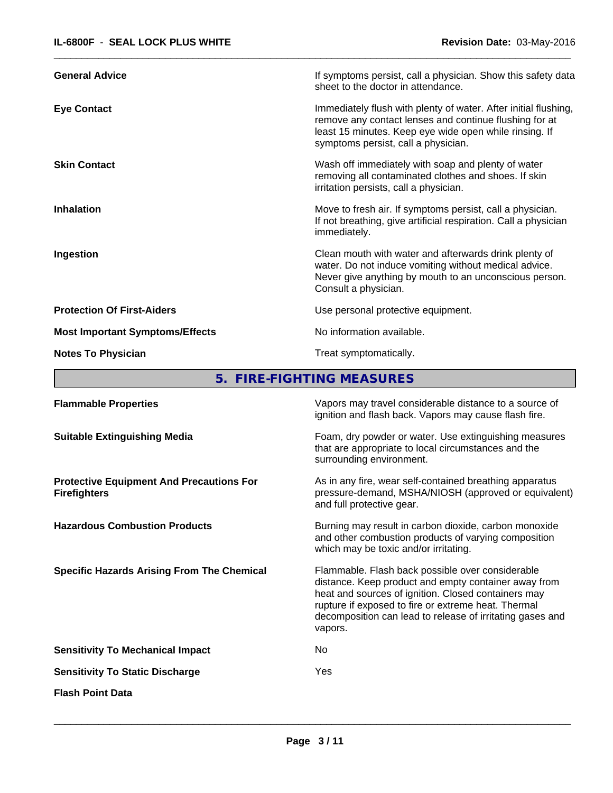| <b>General Advice</b>                  | If symptoms persist, call a physician. Show this safety data<br>sheet to the doctor in attendance.                                                                                                                         |
|----------------------------------------|----------------------------------------------------------------------------------------------------------------------------------------------------------------------------------------------------------------------------|
| <b>Eye Contact</b>                     | Immediately flush with plenty of water. After initial flushing,<br>remove any contact lenses and continue flushing for at<br>least 15 minutes. Keep eye wide open while rinsing. If<br>symptoms persist, call a physician. |
| <b>Skin Contact</b>                    | Wash off immediately with soap and plenty of water<br>removing all contaminated clothes and shoes. If skin<br>irritation persists, call a physician.                                                                       |
| <b>Inhalation</b>                      | Move to fresh air. If symptoms persist, call a physician.<br>If not breathing, give artificial respiration. Call a physician<br>immediately.                                                                               |
| Ingestion                              | Clean mouth with water and afterwards drink plenty of<br>water. Do not induce vomiting without medical advice.<br>Never give anything by mouth to an unconscious person.<br>Consult a physician.                           |
| <b>Protection Of First-Aiders</b>      | Use personal protective equipment.                                                                                                                                                                                         |
| <b>Most Important Symptoms/Effects</b> | No information available.                                                                                                                                                                                                  |
| <b>Notes To Physician</b>              | Treat symptomatically.                                                                                                                                                                                                     |

 $\overline{\phantom{a}}$  ,  $\overline{\phantom{a}}$  ,  $\overline{\phantom{a}}$  ,  $\overline{\phantom{a}}$  ,  $\overline{\phantom{a}}$  ,  $\overline{\phantom{a}}$  ,  $\overline{\phantom{a}}$  ,  $\overline{\phantom{a}}$  ,  $\overline{\phantom{a}}$  ,  $\overline{\phantom{a}}$  ,  $\overline{\phantom{a}}$  ,  $\overline{\phantom{a}}$  ,  $\overline{\phantom{a}}$  ,  $\overline{\phantom{a}}$  ,  $\overline{\phantom{a}}$  ,  $\overline{\phantom{a}}$ 

**5. FIRE-FIGHTING MEASURES**

| <b>Flammable Properties</b>                                            | Vapors may travel considerable distance to a source of<br>ignition and flash back. Vapors may cause flash fire.                                                                                                                                                                                |
|------------------------------------------------------------------------|------------------------------------------------------------------------------------------------------------------------------------------------------------------------------------------------------------------------------------------------------------------------------------------------|
| <b>Suitable Extinguishing Media</b>                                    | Foam, dry powder or water. Use extinguishing measures<br>that are appropriate to local circumstances and the<br>surrounding environment.                                                                                                                                                       |
| <b>Protective Equipment And Precautions For</b><br><b>Firefighters</b> | As in any fire, wear self-contained breathing apparatus<br>pressure-demand, MSHA/NIOSH (approved or equivalent)<br>and full protective gear.                                                                                                                                                   |
| <b>Hazardous Combustion Products</b>                                   | Burning may result in carbon dioxide, carbon monoxide<br>and other combustion products of varying composition<br>which may be toxic and/or irritating.                                                                                                                                         |
| <b>Specific Hazards Arising From The Chemical</b>                      | Flammable. Flash back possible over considerable<br>distance. Keep product and empty container away from<br>heat and sources of ignition. Closed containers may<br>rupture if exposed to fire or extreme heat. Thermal<br>decomposition can lead to release of irritating gases and<br>vapors. |
| <b>Sensitivity To Mechanical Impact</b>                                | No                                                                                                                                                                                                                                                                                             |
| <b>Sensitivity To Static Discharge</b>                                 | Yes                                                                                                                                                                                                                                                                                            |
| <b>Flash Point Data</b>                                                |                                                                                                                                                                                                                                                                                                |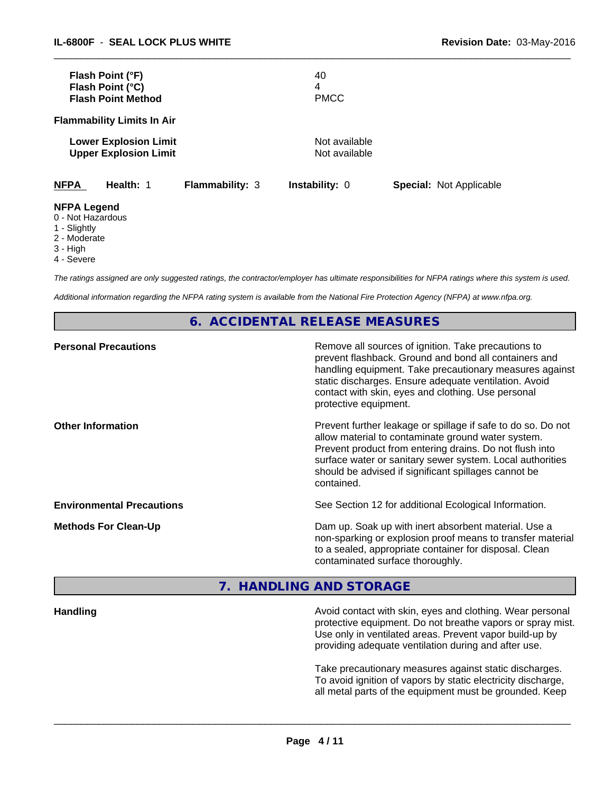|                                         | Flash Point (°F)<br>Flash Point (°C)<br><b>Flash Point Method</b> |                        | 40<br>4<br><b>PMCC</b>         |                                |  |
|-----------------------------------------|-------------------------------------------------------------------|------------------------|--------------------------------|--------------------------------|--|
|                                         | <b>Flammability Limits In Air</b>                                 |                        |                                |                                |  |
|                                         | <b>Lower Explosion Limit</b><br><b>Upper Explosion Limit</b>      |                        | Not available<br>Not available |                                |  |
| <b>NFPA</b>                             | Health: 1                                                         | <b>Flammability: 3</b> | <b>Instability: 0</b>          | <b>Special: Not Applicable</b> |  |
| <b>NFPA Legend</b><br>0 - Not Hazardous |                                                                   |                        |                                |                                |  |

- 1 Slightly
- 2 Moderate
- 3 High
- 4 Severe
- 

*The ratings assigned are only suggested ratings, the contractor/employer has ultimate responsibilities for NFPA ratings where this system is used.*

 $\overline{\phantom{a}}$  ,  $\overline{\phantom{a}}$  ,  $\overline{\phantom{a}}$  ,  $\overline{\phantom{a}}$  ,  $\overline{\phantom{a}}$  ,  $\overline{\phantom{a}}$  ,  $\overline{\phantom{a}}$  ,  $\overline{\phantom{a}}$  ,  $\overline{\phantom{a}}$  ,  $\overline{\phantom{a}}$  ,  $\overline{\phantom{a}}$  ,  $\overline{\phantom{a}}$  ,  $\overline{\phantom{a}}$  ,  $\overline{\phantom{a}}$  ,  $\overline{\phantom{a}}$  ,  $\overline{\phantom{a}}$ 

*Additional information regarding the NFPA rating system is available from the National Fire Protection Agency (NFPA) at www.nfpa.org.*

## **6. ACCIDENTAL RELEASE MEASURES**

| <b>Personal Precautions</b>      | Remove all sources of ignition. Take precautions to<br>prevent flashback. Ground and bond all containers and<br>handling equipment. Take precautionary measures against<br>static discharges. Ensure adequate ventilation. Avoid<br>contact with skin, eyes and clothing. Use personal<br>protective equipment.  |
|----------------------------------|------------------------------------------------------------------------------------------------------------------------------------------------------------------------------------------------------------------------------------------------------------------------------------------------------------------|
| <b>Other Information</b>         | Prevent further leakage or spillage if safe to do so. Do not<br>allow material to contaminate ground water system.<br>Prevent product from entering drains. Do not flush into<br>surface water or sanitary sewer system. Local authorities<br>should be advised if significant spillages cannot be<br>contained. |
| <b>Environmental Precautions</b> | See Section 12 for additional Ecological Information.                                                                                                                                                                                                                                                            |
| <b>Methods For Clean-Up</b>      | Dam up. Soak up with inert absorbent material. Use a<br>non-sparking or explosion proof means to transfer material<br>to a sealed, appropriate container for disposal. Clean<br>contaminated surface thoroughly.                                                                                                 |

## **7. HANDLING AND STORAGE**

## **Handling Handling Avoid contact with skin, eyes and clothing. Wear personal** protective equipment. Do not breathe vapors or spray mist. Use only in ventilated areas. Prevent vapor build-up by providing adequate ventilation during and after use.

Take precautionary measures against static discharges. To avoid ignition of vapors by static electricity discharge, all metal parts of the equipment must be grounded. Keep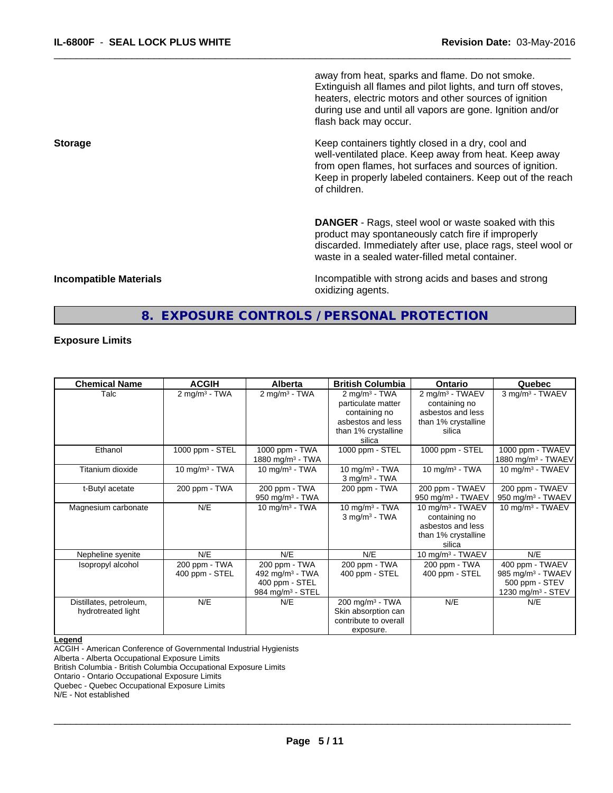away from heat, sparks and flame. Do not smoke. Extinguish all flames and pilot lights, and turn off stoves, heaters, electric motors and other sources of ignition during use and until all vapors are gone. Ignition and/or flash back may occur.

 $\overline{\phantom{a}}$  ,  $\overline{\phantom{a}}$  ,  $\overline{\phantom{a}}$  ,  $\overline{\phantom{a}}$  ,  $\overline{\phantom{a}}$  ,  $\overline{\phantom{a}}$  ,  $\overline{\phantom{a}}$  ,  $\overline{\phantom{a}}$  ,  $\overline{\phantom{a}}$  ,  $\overline{\phantom{a}}$  ,  $\overline{\phantom{a}}$  ,  $\overline{\phantom{a}}$  ,  $\overline{\phantom{a}}$  ,  $\overline{\phantom{a}}$  ,  $\overline{\phantom{a}}$  ,  $\overline{\phantom{a}}$ 

**Storage Keep containers tightly closed in a dry, cool and get a dry and structure in a dry and structure in a dry and structure in a dry and structure in a dry and structure in a dry and structure in a dry and structure** well-ventilated place. Keep away from heat. Keep away from open flames, hot surfaces and sources of ignition. Keep in properly labeled containers. Keep out of the reach of children.

> **DANGER** - Rags, steel wool or waste soaked with this product may spontaneously catch fire if improperly discarded. Immediately after use, place rags, steel wool or waste in a sealed water-filled metal container.

**Incompatible Materials Incompatible with strong acids and bases and strong** oxidizing agents.

## **8. EXPOSURE CONTROLS / PERSONAL PROTECTION**

#### **Exposure Limits**

| <b>Chemical Name</b>    | <b>ACGIH</b>                | <b>Alberta</b>               | <b>British Columbia</b>     | Ontario                       | Quebec                        |
|-------------------------|-----------------------------|------------------------------|-----------------------------|-------------------------------|-------------------------------|
| Talc                    | $2$ mg/m <sup>3</sup> - TWA | $2$ mg/m $3$ - TWA           | $2$ mg/m <sup>3</sup> - TWA | 2 mg/m <sup>3</sup> - TWAEV   | 3 mg/m <sup>3</sup> - TWAEV   |
|                         |                             |                              | particulate matter          | containing no                 |                               |
|                         |                             |                              | containing no               | asbestos and less             |                               |
|                         |                             |                              | asbestos and less           | than 1% crystalline           |                               |
|                         |                             |                              | than 1% crystalline         | silica                        |                               |
|                         |                             |                              | silica                      |                               |                               |
| Ethanol                 | 1000 ppm - STEL             | 1000 ppm - TWA               | 1000 ppm - STEL             | 1000 ppm - STEL               | 1000 ppm - TWAEV              |
|                         |                             | 1880 mg/m <sup>3</sup> - TWA |                             |                               | 1880 mg/m $3$ - TWAEV         |
| Titanium dioxide        | 10 mg/m $3$ - TWA           | 10 mg/m $3 - TWA$            | 10 mg/m $3$ - TWA           | 10 mg/m $3$ - TWA             | 10 mg/m <sup>3</sup> - TWAEV  |
|                         |                             |                              | $3$ mg/m <sup>3</sup> - TWA |                               |                               |
| t-Butyl acetate         | 200 ppm - TWA               | 200 ppm - TWA                | 200 ppm - TWA               | 200 ppm - TWAEV               | 200 ppm - TWAEV               |
|                         |                             | 950 mg/m $3$ - TWA           |                             | 950 mg/m <sup>3</sup> - TWAEV | 950 mg/m <sup>3</sup> - TWAEV |
| Magnesium carbonate     | N/E                         | 10 mg/m $3 - TWA$            | 10 mg/m $3$ - TWA           | 10 mg/m <sup>3</sup> - TWAEV  | 10 mg/m <sup>3</sup> - TWAEV  |
|                         |                             |                              | $3 \text{ mg/m}^3$ - TWA    | containing no                 |                               |
|                         |                             |                              |                             | asbestos and less             |                               |
|                         |                             |                              |                             | than 1% crystalline           |                               |
|                         |                             |                              |                             | silica                        |                               |
| Nepheline syenite       | N/E                         | N/E                          | N/E                         | 10 mg/m <sup>3</sup> - TWAEV  | N/E                           |
| Isopropyl alcohol       | 200 ppm - TWA               | 200 ppm - TWA                | 200 ppm - TWA               | 200 ppm - TWA                 | 400 ppm - TWAEV               |
|                         | 400 ppm - STEL              | 492 mg/m <sup>3</sup> - TWA  | 400 ppm - STEL              | 400 ppm - STEL                | 985 mg/m <sup>3</sup> - TWAEV |
|                         |                             | 400 ppm - STEL               |                             |                               | 500 ppm - STEV                |
|                         |                             | 984 mg/m <sup>3</sup> - STEL |                             |                               | 1230 mg/m <sup>3</sup> - STEV |
| Distillates, petroleum, | N/E                         | N/E                          | 200 mg/m <sup>3</sup> - TWA | N/E                           | N/E                           |
| hydrotreated light      |                             |                              | Skin absorption can         |                               |                               |
|                         |                             |                              | contribute to overall       |                               |                               |
|                         |                             |                              |                             |                               |                               |
|                         |                             |                              | exposure.                   |                               |                               |

#### **Legend**

ACGIH - American Conference of Governmental Industrial Hygienists Alberta - Alberta Occupational Exposure Limits

British Columbia - British Columbia Occupational Exposure Limits

Ontario - Ontario Occupational Exposure Limits Quebec - Quebec Occupational Exposure Limits

N/E - Not established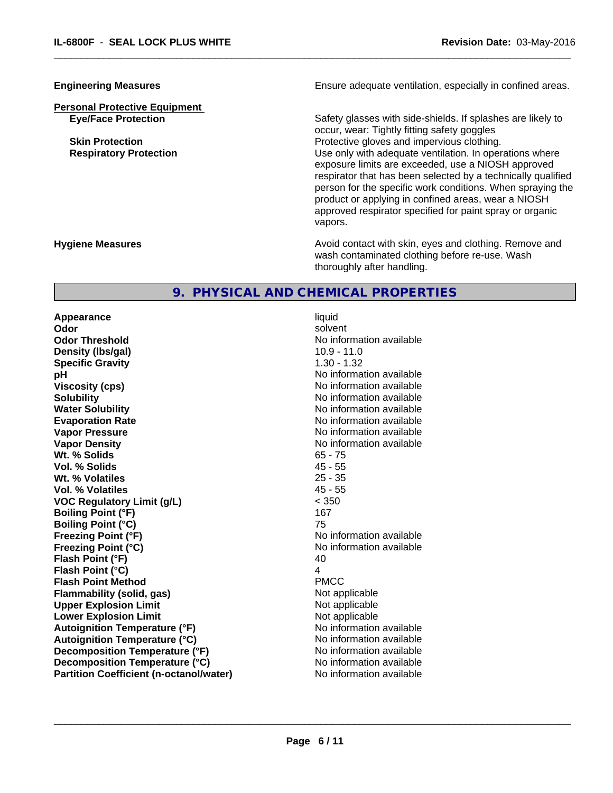**Personal Protective Equipment**

**Engineering Measures Ensure** Ensure adequate ventilation, especially in confined areas.

 $\overline{\phantom{a}}$  ,  $\overline{\phantom{a}}$  ,  $\overline{\phantom{a}}$  ,  $\overline{\phantom{a}}$  ,  $\overline{\phantom{a}}$  ,  $\overline{\phantom{a}}$  ,  $\overline{\phantom{a}}$  ,  $\overline{\phantom{a}}$  ,  $\overline{\phantom{a}}$  ,  $\overline{\phantom{a}}$  ,  $\overline{\phantom{a}}$  ,  $\overline{\phantom{a}}$  ,  $\overline{\phantom{a}}$  ,  $\overline{\phantom{a}}$  ,  $\overline{\phantom{a}}$  ,  $\overline{\phantom{a}}$ 

**Eye/Face Protection** Safety glasses with side-shields. If splashes are likely to occur, wear: Tightly fitting safety goggles **Skin Protection Protection Protective gloves and impervious clothing. Respiratory Protection Number 1** (Use only with adequate ventilation. In operations where exposure limits are exceeded, use a NIOSH approved respirator that has been selected by a technically qualified person for the specific work conditions. When spraying the product or applying in confined areas, wear a NIOSH approved respirator specified for paint spray or organic vapors.

**Hygiene Measures Avoid contact with skin, eyes and clothing. Remove and Avoid contact with skin, eyes and clothing. Remove and Avoid contact with skin, eyes and clothing. Remove and** wash contaminated clothing before re-use. Wash thoroughly after handling.

## **9. PHYSICAL AND CHEMICAL PROPERTIES**

**Appearance** liquid **Odor** solvent **Odor Threshold No information available No information available Density (Ibs/gal)** 10.9 - 11.0 **Specific Gravity** 1.30 - 1.32 **pH** No information available **Viscosity (cps)** No information available Notice 1, 1999 **Solubility Note 2008 Note 2008 Note 2008 Note 2008 Note 2008 Note 2008 Note 2008 Note 2008 Note 2008 Note 2008 Note 2008 Note 2008 Note 2008 Note 2008 Note 2008 Note 2008 Note 2008 Note Water Solubility** No information available **Evaporation Rate No information available No information available Vapor Pressure** No information available No information available **Vapor Density No information available No information available Wt. % Solids** 65 - 75 **Vol. % Solids** 45 - 55 **Wt. % Volatiles** 25 - 35 **Vol. % Volatiles** 45 - 55 **VOC Regulatory Limit (g/L)** < 350 **Boiling Point (°F)** 167 **Boiling Point (°C)** 75 **Freezing Point (°F)** No information available **Freezing Point (°C)** No information available **Flash Point (°F)** 40 **Flash Point (°C)** 4 **Flash Point Method** PMCC **Flammability (solid, gas)** Not applicable **Upper Explosion Limit** Not applicable **Lower Explosion Limit**<br> **Autoignition Temperature (°F)** Not applicable Not applicable not a Not applicable **Autoignition Temperature (°F)**<br> **Autoignition Temperature (°C)** No information available **Autoignition Temperature (°C) Decomposition Temperature (°F)** No information available **Decomposition Temperature (°C)** No information available **Partition Coefficient (n-octanol/water)** No information available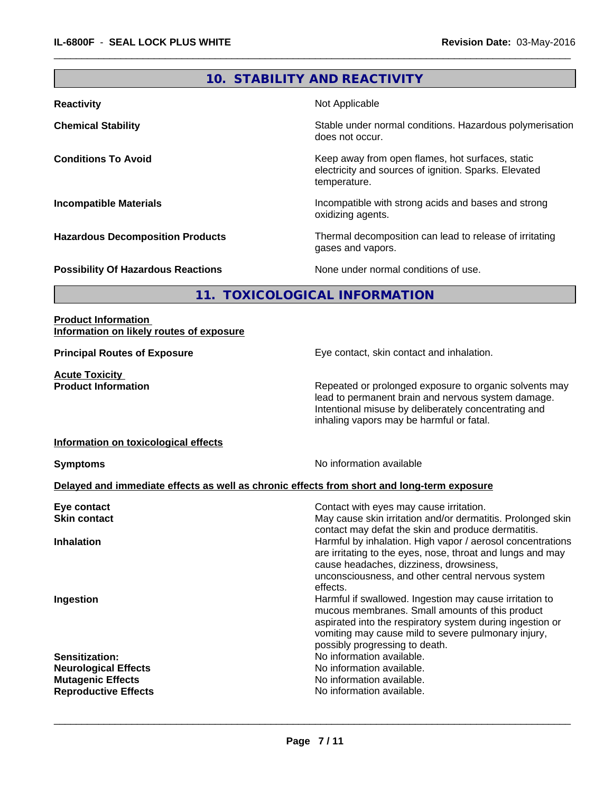# **10. STABILITY AND REACTIVITY**

 $\overline{\phantom{a}}$  ,  $\overline{\phantom{a}}$  ,  $\overline{\phantom{a}}$  ,  $\overline{\phantom{a}}$  ,  $\overline{\phantom{a}}$  ,  $\overline{\phantom{a}}$  ,  $\overline{\phantom{a}}$  ,  $\overline{\phantom{a}}$  ,  $\overline{\phantom{a}}$  ,  $\overline{\phantom{a}}$  ,  $\overline{\phantom{a}}$  ,  $\overline{\phantom{a}}$  ,  $\overline{\phantom{a}}$  ,  $\overline{\phantom{a}}$  ,  $\overline{\phantom{a}}$  ,  $\overline{\phantom{a}}$ 

| <b>Reactivity</b>                         | Not Applicable                                                                                                            |
|-------------------------------------------|---------------------------------------------------------------------------------------------------------------------------|
| <b>Chemical Stability</b>                 | Stable under normal conditions. Hazardous polymerisation<br>does not occur.                                               |
| <b>Conditions To Avoid</b>                | Keep away from open flames, hot surfaces, static<br>electricity and sources of ignition. Sparks. Elevated<br>temperature. |
| <b>Incompatible Materials</b>             | Incompatible with strong acids and bases and strong<br>oxidizing agents.                                                  |
| <b>Hazardous Decomposition Products</b>   | Thermal decomposition can lead to release of irritating<br>gases and vapors.                                              |
| <b>Possibility Of Hazardous Reactions</b> | None under normal conditions of use.                                                                                      |
|                                           | 11. TOXICOLOGICAL INFORMATION                                                                                             |
|                                           |                                                                                                                           |

#### **Product Information Information on likely routes of exposure**

**Acute Toxicity<br>Product Information** 

**Principal Routes of Exposure Exposure** Eye contact, skin contact and inhalation.

Repeated or prolonged exposure to organic solvents may lead to permanent brain and nervous system damage. Intentional misuse by deliberately concentrating and inhaling vapors may be harmful or fatal.

#### **Information on toxicological effects**

**Symptoms** No information available

## **Delayed and immediate effects as well as chronic effects from short and long-term exposure**

| Contact with eyes may cause irritation.                                                                                                                                                                                                                          |
|------------------------------------------------------------------------------------------------------------------------------------------------------------------------------------------------------------------------------------------------------------------|
| May cause skin irritation and/or dermatitis. Prolonged skin<br>contact may defat the skin and produce dermatitis.                                                                                                                                                |
| Harmful by inhalation. High vapor / aerosol concentrations<br>are irritating to the eyes, nose, throat and lungs and may<br>cause headaches, dizziness, drowsiness,<br>unconsciousness, and other central nervous system<br>effects.                             |
| Harmful if swallowed. Ingestion may cause irritation to<br>mucous membranes. Small amounts of this product<br>aspirated into the respiratory system during ingestion or<br>vomiting may cause mild to severe pulmonary injury,<br>possibly progressing to death. |
| No information available.                                                                                                                                                                                                                                        |
| No information available.                                                                                                                                                                                                                                        |
| No information available.                                                                                                                                                                                                                                        |
| No information available.                                                                                                                                                                                                                                        |
|                                                                                                                                                                                                                                                                  |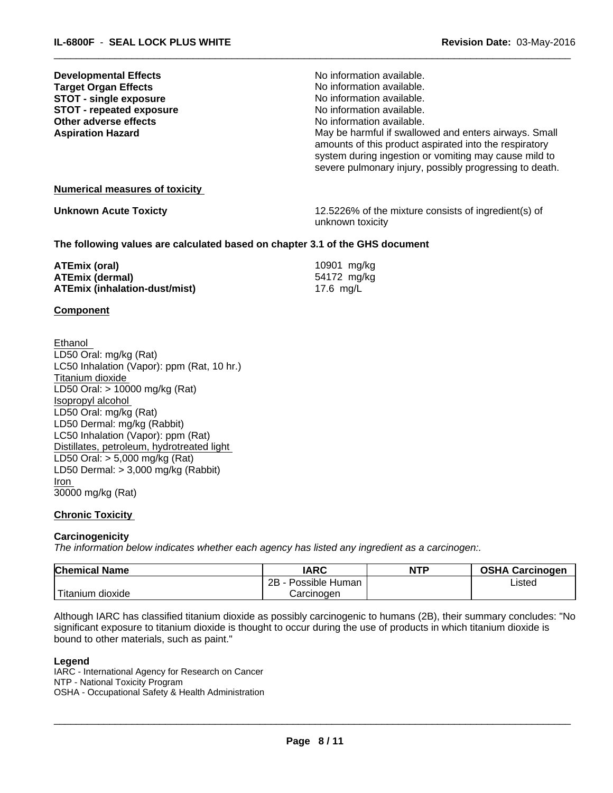| <b>Developmental Effects</b><br><b>Target Organ Effects</b><br><b>STOT - single exposure</b><br><b>STOT - repeated exposure</b><br>Other adverse effects<br><b>Aspiration Hazard</b> | No information available.<br>No information available.<br>No information available.<br>No information available.<br>No information available.<br>May be harmful if swallowed and enters airways. Small<br>amounts of this product aspirated into the respiratory<br>system during ingestion or vomiting may cause mild to<br>severe pulmonary injury, possibly progressing to death. |
|--------------------------------------------------------------------------------------------------------------------------------------------------------------------------------------|--------------------------------------------------------------------------------------------------------------------------------------------------------------------------------------------------------------------------------------------------------------------------------------------------------------------------------------------------------------------------------------|
| <b>Numerical measures of toxicity</b>                                                                                                                                                |                                                                                                                                                                                                                                                                                                                                                                                      |
| <b>Unknown Acute Toxicty</b>                                                                                                                                                         | 12.5226% of the mixture consists of ingredient(s) of<br>unknown toxicity                                                                                                                                                                                                                                                                                                             |
| The following values are calculated based on chapter 3.1 of the GHS document                                                                                                         |                                                                                                                                                                                                                                                                                                                                                                                      |
| ATEmix (oral)                                                                                                                                                                        | 10901 mg/kg                                                                                                                                                                                                                                                                                                                                                                          |

 $\overline{\phantom{a}}$  ,  $\overline{\phantom{a}}$  ,  $\overline{\phantom{a}}$  ,  $\overline{\phantom{a}}$  ,  $\overline{\phantom{a}}$  ,  $\overline{\phantom{a}}$  ,  $\overline{\phantom{a}}$  ,  $\overline{\phantom{a}}$  ,  $\overline{\phantom{a}}$  ,  $\overline{\phantom{a}}$  ,  $\overline{\phantom{a}}$  ,  $\overline{\phantom{a}}$  ,  $\overline{\phantom{a}}$  ,  $\overline{\phantom{a}}$  ,  $\overline{\phantom{a}}$  ,  $\overline{\phantom{a}}$ 

| <b>ATEmix (oral)</b>                 | 10901 mg/kg |  |
|--------------------------------------|-------------|--|
| <b>ATEmix (dermal)</b>               | 54172 mg/kg |  |
| <b>ATEmix (inhalation-dust/mist)</b> | 17.6 mg/L   |  |

#### **Component**

Ethanol LD50 Oral: mg/kg (Rat) LC50 Inhalation (Vapor): ppm (Rat, 10 hr.) Titanium dioxide LD50 Oral: > 10000 mg/kg (Rat) Isopropyl alcohol LD50 Oral: mg/kg (Rat) LD50 Dermal: mg/kg (Rabbit) LC50 Inhalation (Vapor): ppm (Rat) Distillates, petroleum, hydrotreated light LD50 Oral: > 5,000 mg/kg (Rat) LD50 Dermal: > 3,000 mg/kg (Rabbit) Iron 30000 mg/kg (Rat)

#### **Chronic Toxicity**

#### **Carcinogenicity**

*The information below indicateswhether each agency has listed any ingredient as a carcinogen:.*

| <b>Chemical Name</b>                   | <b>IARC</b>          | <b>NTP</b> | <b>OSHA Carcinogen</b> |
|----------------------------------------|----------------------|------------|------------------------|
|                                        | 2B<br>Possible Human |            | ∟isted                 |
| l <del>. .</del><br>dioxide<br>ıtanıum | Carcinogen           |            |                        |

Although IARC has classified titanium dioxide as possibly carcinogenic to humans (2B), their summary concludes: "No significant exposure to titanium dioxide is thought to occur during the use of products in which titanium dioxide is bound to other materials, such as paint."

#### **Legend**

IARC - International Agency for Research on Cancer NTP - National Toxicity Program OSHA - Occupational Safety & Health Administration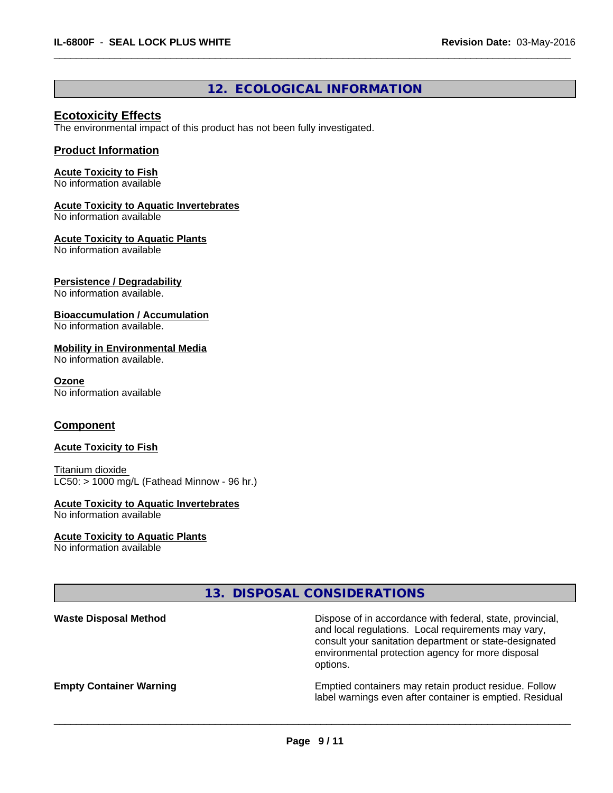## **12. ECOLOGICAL INFORMATION**

 $\overline{\phantom{a}}$  ,  $\overline{\phantom{a}}$  ,  $\overline{\phantom{a}}$  ,  $\overline{\phantom{a}}$  ,  $\overline{\phantom{a}}$  ,  $\overline{\phantom{a}}$  ,  $\overline{\phantom{a}}$  ,  $\overline{\phantom{a}}$  ,  $\overline{\phantom{a}}$  ,  $\overline{\phantom{a}}$  ,  $\overline{\phantom{a}}$  ,  $\overline{\phantom{a}}$  ,  $\overline{\phantom{a}}$  ,  $\overline{\phantom{a}}$  ,  $\overline{\phantom{a}}$  ,  $\overline{\phantom{a}}$ 

## **Ecotoxicity Effects**

The environmental impact of this product has not been fully investigated.

#### **Product Information**

### **Acute Toxicity to Fish**

No information available

### **Acute Toxicity to Aquatic Invertebrates**

No information available

#### **Acute Toxicity to Aquatic Plants**

No information available

#### **Persistence / Degradability**

No information available.

#### **Bioaccumulation / Accumulation**

No information available.

#### **Mobility in Environmental Media**

No information available.

## **Ozone**

No information available

## **Component**

#### **Acute Toxicity to Fish**

Titanium dioxide  $LC50:$  > 1000 mg/L (Fathead Minnow - 96 hr.)

#### **Acute Toxicity to Aquatic Invertebrates**

No information available

#### **Acute Toxicity to Aquatic Plants**

No information available

## **13. DISPOSAL CONSIDERATIONS**

| <b>Waste Disposal Method</b>   | Dispose of in accordance with federal, state, provincial,<br>and local regulations. Local requirements may vary,<br>consult your sanitation department or state-designated<br>environmental protection agency for more disposal<br>options. |
|--------------------------------|---------------------------------------------------------------------------------------------------------------------------------------------------------------------------------------------------------------------------------------------|
| <b>Empty Container Warning</b> | Emptied containers may retain product residue. Follow<br>label warnings even after container is emptied. Residual                                                                                                                           |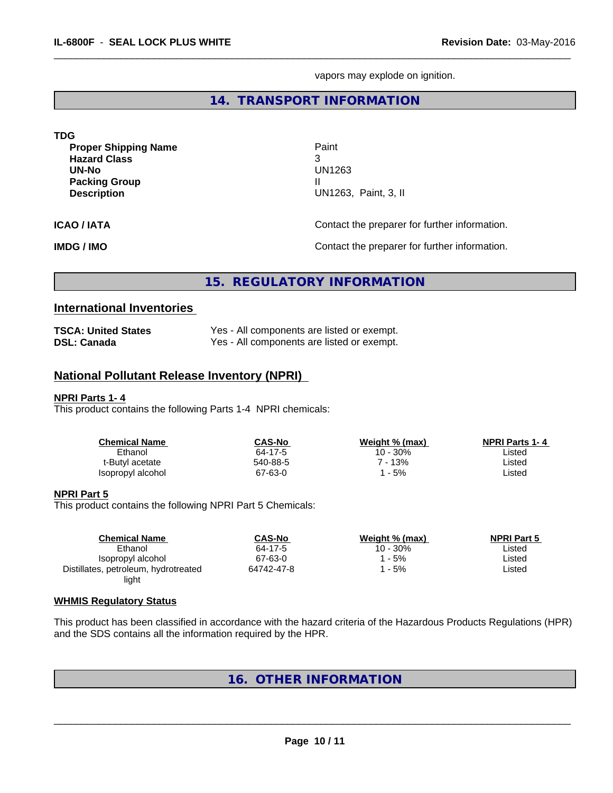vapors may explode on ignition.

 $\overline{\phantom{a}}$  ,  $\overline{\phantom{a}}$  ,  $\overline{\phantom{a}}$  ,  $\overline{\phantom{a}}$  ,  $\overline{\phantom{a}}$  ,  $\overline{\phantom{a}}$  ,  $\overline{\phantom{a}}$  ,  $\overline{\phantom{a}}$  ,  $\overline{\phantom{a}}$  ,  $\overline{\phantom{a}}$  ,  $\overline{\phantom{a}}$  ,  $\overline{\phantom{a}}$  ,  $\overline{\phantom{a}}$  ,  $\overline{\phantom{a}}$  ,  $\overline{\phantom{a}}$  ,  $\overline{\phantom{a}}$ 

## **14. TRANSPORT INFORMATION**

| <b>TDG</b>                                                                                                |                                                   |
|-----------------------------------------------------------------------------------------------------------|---------------------------------------------------|
| <b>Proper Shipping Name</b><br><b>Hazard Class</b><br>UN-No<br><b>Packing Group</b><br><b>Description</b> | Paint<br>3<br>UN1263<br>Ш<br>UN1263, Paint, 3, II |
| <b>ICAO/IATA</b>                                                                                          | Contact the preparer for further information.     |
| <b>IMDG / IMO</b>                                                                                         | Contact the preparer for further information.     |

# **15. REGULATORY INFORMATION**

### **International Inventories**

| <b>TSCA: United States</b> | Yes - All components are listed or exempt. |
|----------------------------|--------------------------------------------|
| <b>DSL: Canada</b>         | Yes - All components are listed or exempt. |

## **National Pollutant Release Inventory (NPRI)**

#### **NPRI Parts 1- 4**

This product contains the following Parts 1-4 NPRI chemicals:

| CAS-No   | Weight % (max) | <b>NPRI Parts 1-4</b> |
|----------|----------------|-----------------------|
| 64-17-5  | 10 - 30%       | ∟isted                |
| 540-88-5 | $-13%$         | Listed                |
| 67-63-0  | - 5%           | Listed                |
|          |                |                       |

#### **NPRI Part 5**

This product contains the following NPRI Part 5 Chemicals:

| <b>Chemical Name</b>                 | <b>CAS-No</b> | Weight % (max) | <b>NPRI Part 5</b> |  |
|--------------------------------------|---------------|----------------|--------------------|--|
| Ethanol                              | 64-17-5       | 10 - 30%       | Listed             |  |
| Isopropyl alcohol                    | 67-63-0       | - 5%           | Listed             |  |
| Distillates, petroleum, hydrotreated | 64742-47-8    | - 5%           | Listed             |  |
| light                                |               |                |                    |  |

#### **WHMIS Regulatory Status**

This product has been classified in accordance with the hazard criteria of the Hazardous Products Regulations (HPR) and the SDS contains all the information required by the HPR.

# **16. OTHER INFORMATION**